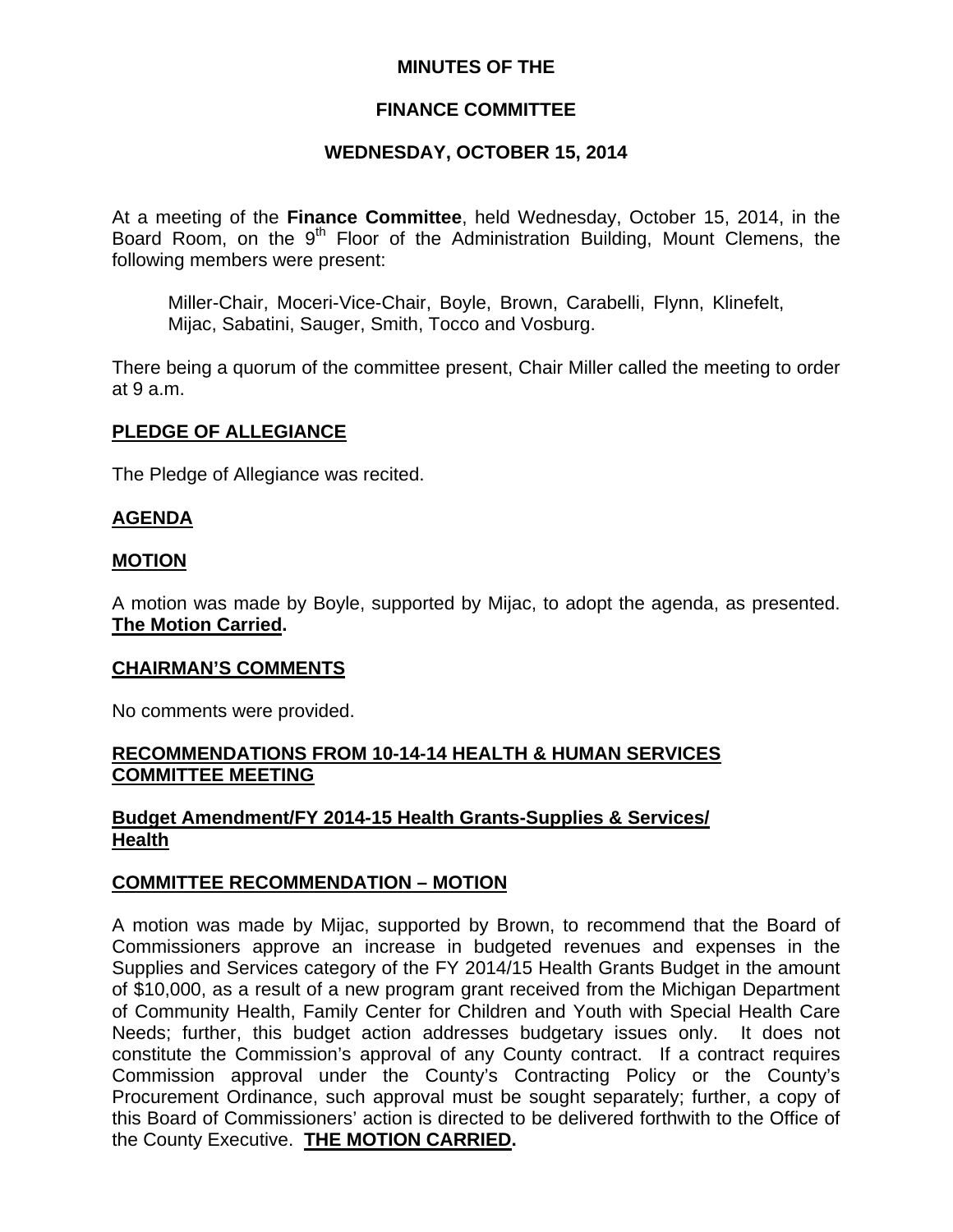## **MINUTES OF THE**

# **FINANCE COMMITTEE**

## **WEDNESDAY, OCTOBER 15, 2014**

At a meeting of the **Finance Committee**, held Wednesday, October 15, 2014, in the Board Room, on the 9<sup>th</sup> Floor of the Administration Building, Mount Clemens, the following members were present:

Miller-Chair, Moceri-Vice-Chair, Boyle, Brown, Carabelli, Flynn, Klinefelt, Mijac, Sabatini, Sauger, Smith, Tocco and Vosburg.

There being a quorum of the committee present, Chair Miller called the meeting to order at 9 a.m.

### **PLEDGE OF ALLEGIANCE**

The Pledge of Allegiance was recited.

### **AGENDA**

### **MOTION**

A motion was made by Boyle, supported by Mijac, to adopt the agenda, as presented. **The Motion Carried.** 

#### **CHAIRMAN'S COMMENTS**

No comments were provided.

## **RECOMMENDATIONS FROM 10-14-14 HEALTH & HUMAN SERVICES COMMITTEE MEETING**

# **Budget Amendment/FY 2014-15 Health Grants-Supplies & Services/ Health**

### **COMMITTEE RECOMMENDATION – MOTION**

A motion was made by Mijac, supported by Brown, to recommend that the Board of Commissioners approve an increase in budgeted revenues and expenses in the Supplies and Services category of the FY 2014/15 Health Grants Budget in the amount of \$10,000, as a result of a new program grant received from the Michigan Department of Community Health, Family Center for Children and Youth with Special Health Care Needs; further, this budget action addresses budgetary issues only. It does not constitute the Commission's approval of any County contract. If a contract requires Commission approval under the County's Contracting Policy or the County's Procurement Ordinance, such approval must be sought separately; further, a copy of this Board of Commissioners' action is directed to be delivered forthwith to the Office of the County Executive. **THE MOTION CARRIED.**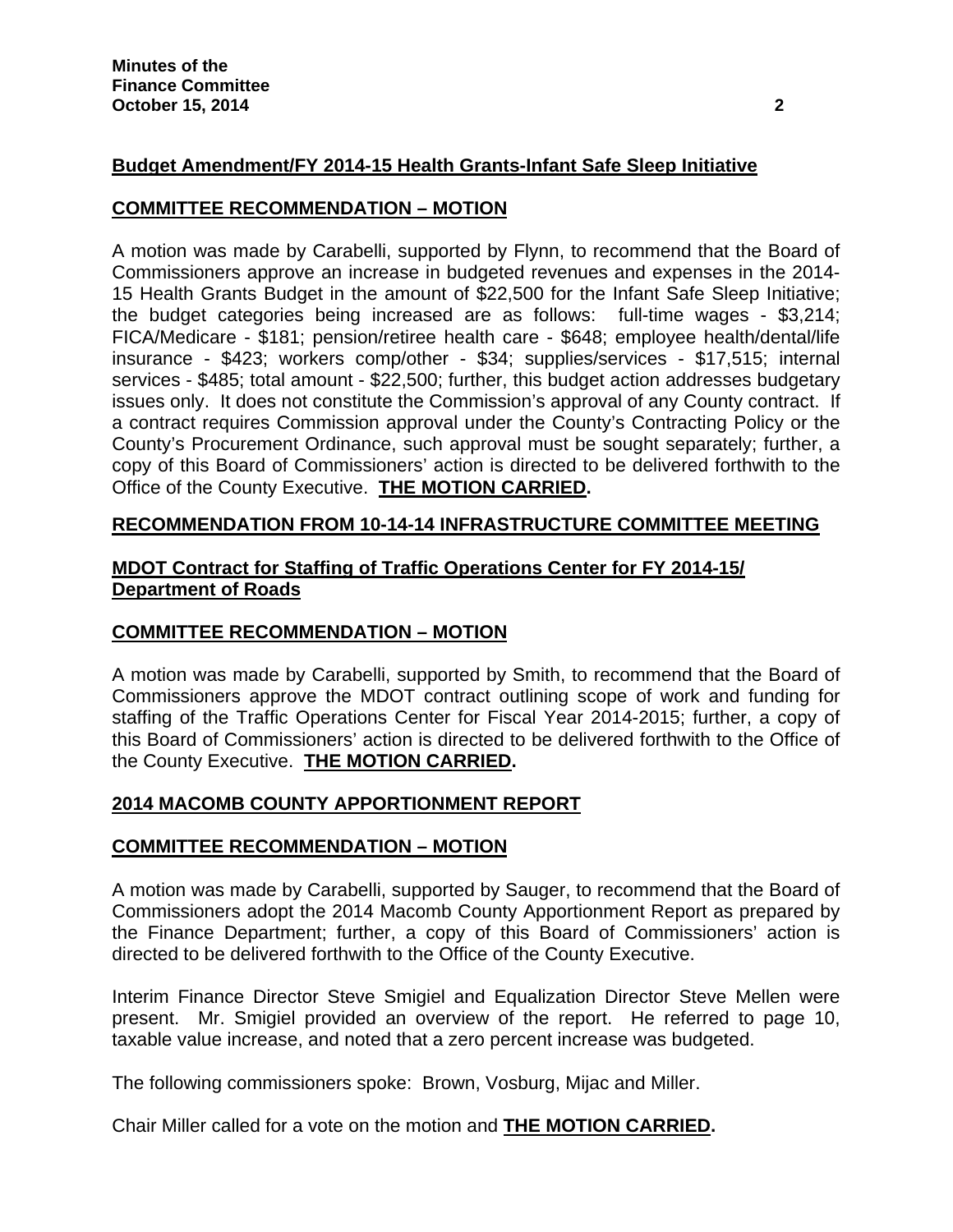# **Budget Amendment/FY 2014-15 Health Grants-Infant Safe Sleep Initiative**

## **COMMITTEE RECOMMENDATION – MOTION**

A motion was made by Carabelli, supported by Flynn, to recommend that the Board of Commissioners approve an increase in budgeted revenues and expenses in the 2014- 15 Health Grants Budget in the amount of \$22,500 for the Infant Safe Sleep Initiative; the budget categories being increased are as follows: full-time wages - \$3,214; FICA/Medicare - \$181; pension/retiree health care - \$648; employee health/dental/life insurance - \$423; workers comp/other - \$34; supplies/services - \$17,515; internal services - \$485; total amount - \$22,500; further, this budget action addresses budgetary issues only. It does not constitute the Commission's approval of any County contract. If a contract requires Commission approval under the County's Contracting Policy or the County's Procurement Ordinance, such approval must be sought separately; further, a copy of this Board of Commissioners' action is directed to be delivered forthwith to the Office of the County Executive. **THE MOTION CARRIED.** 

## **RECOMMENDATION FROM 10-14-14 INFRASTRUCTURE COMMITTEE MEETING**

# **MDOT Contract for Staffing of Traffic Operations Center for FY 2014-15/ Department of Roads**

### **COMMITTEE RECOMMENDATION – MOTION**

A motion was made by Carabelli, supported by Smith, to recommend that the Board of Commissioners approve the MDOT contract outlining scope of work and funding for staffing of the Traffic Operations Center for Fiscal Year 2014-2015; further, a copy of this Board of Commissioners' action is directed to be delivered forthwith to the Office of the County Executive. **THE MOTION CARRIED.** 

### **2014 MACOMB COUNTY APPORTIONMENT REPORT**

### **COMMITTEE RECOMMENDATION – MOTION**

A motion was made by Carabelli, supported by Sauger, to recommend that the Board of Commissioners adopt the 2014 Macomb County Apportionment Report as prepared by the Finance Department; further, a copy of this Board of Commissioners' action is directed to be delivered forthwith to the Office of the County Executive.

Interim Finance Director Steve Smigiel and Equalization Director Steve Mellen were present. Mr. Smigiel provided an overview of the report. He referred to page 10, taxable value increase, and noted that a zero percent increase was budgeted.

The following commissioners spoke: Brown, Vosburg, Mijac and Miller.

Chair Miller called for a vote on the motion and **THE MOTION CARRIED.**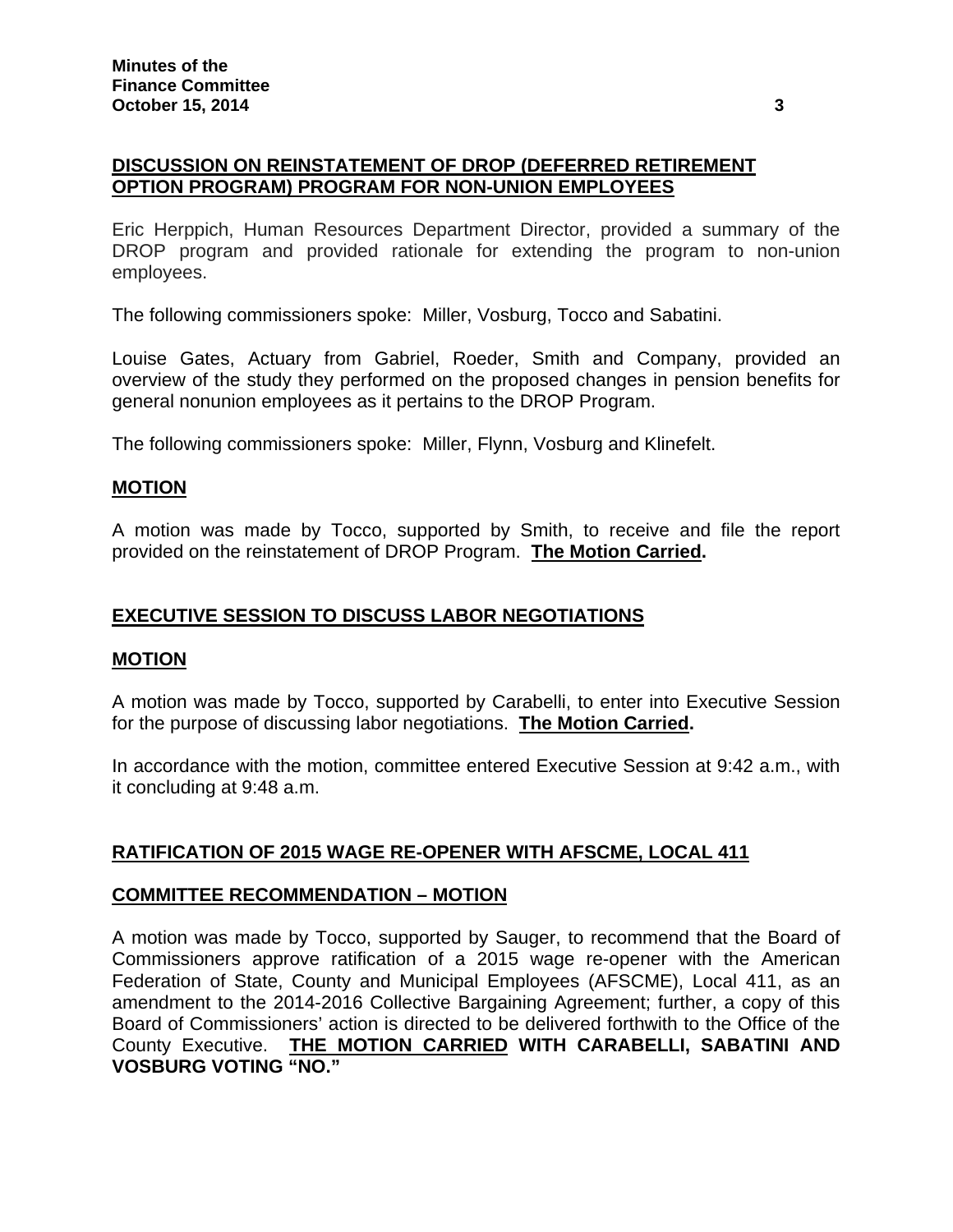# **DISCUSSION ON REINSTATEMENT OF DROP (DEFERRED RETIREMENT OPTION PROGRAM) PROGRAM FOR NON-UNION EMPLOYEES**

Eric Herppich, Human Resources Department Director, provided a summary of the DROP program and provided rationale for extending the program to non-union employees.

The following commissioners spoke: Miller, Vosburg, Tocco and Sabatini.

Louise Gates, Actuary from Gabriel, Roeder, Smith and Company, provided an overview of the study they performed on the proposed changes in pension benefits for general nonunion employees as it pertains to the DROP Program.

The following commissioners spoke: Miller, Flynn, Vosburg and Klinefelt.

# **MOTION**

A motion was made by Tocco, supported by Smith, to receive and file the report provided on the reinstatement of DROP Program. **The Motion Carried.** 

## **EXECUTIVE SESSION TO DISCUSS LABOR NEGOTIATIONS**

### **MOTION**

A motion was made by Tocco, supported by Carabelli, to enter into Executive Session for the purpose of discussing labor negotiations. **The Motion Carried.**

In accordance with the motion, committee entered Executive Session at 9:42 a.m., with it concluding at 9:48 a.m.

# **RATIFICATION OF 2015 WAGE RE-OPENER WITH AFSCME, LOCAL 411**

### **COMMITTEE RECOMMENDATION – MOTION**

A motion was made by Tocco, supported by Sauger, to recommend that the Board of Commissioners approve ratification of a 2015 wage re-opener with the American Federation of State, County and Municipal Employees (AFSCME), Local 411, as an amendment to the 2014-2016 Collective Bargaining Agreement; further, a copy of this Board of Commissioners' action is directed to be delivered forthwith to the Office of the County Executive. **THE MOTION CARRIED WITH CARABELLI, SABATINI AND VOSBURG VOTING "NO."**